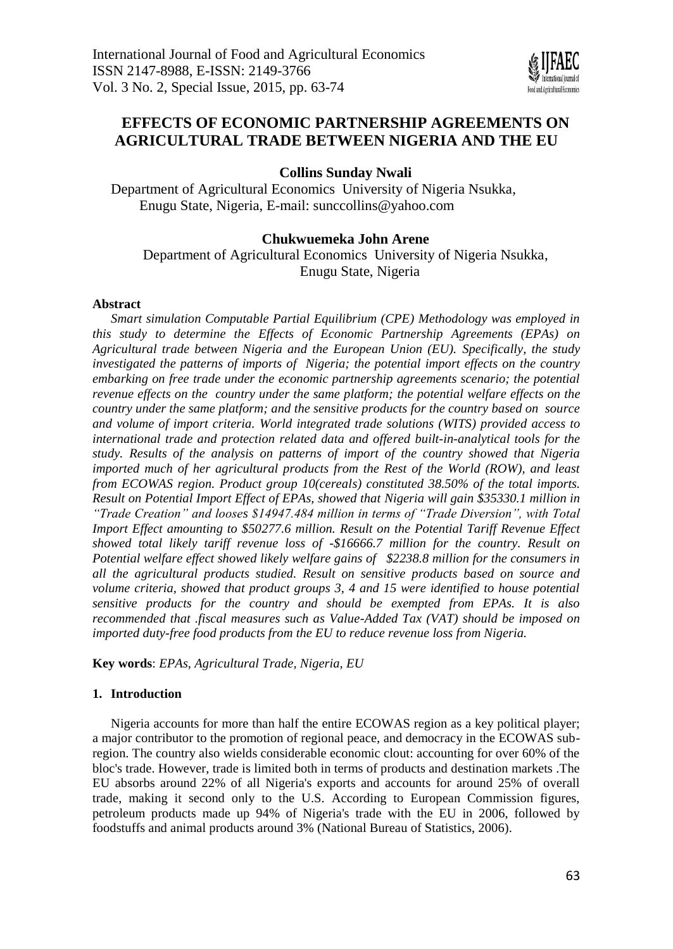

# **EFFECTS OF ECONOMIC PARTNERSHIP AGREEMENTS ON AGRICULTURAL TRADE BETWEEN NIGERIA AND THE EU**

# **Collins Sunday Nwali**

Department of Agricultural Economics University of Nigeria Nsukka, Enugu State, Nigeria, E-mail: [sunccollins@yahoo.com](mailto:sunccollins@yahoo.com)

# **Chukwuemeka John Arene**

Department of Agricultural Economics University of Nigeria Nsukka, Enugu State, Nigeria

### **Abstract**

*Smart simulation Computable Partial Equilibrium (CPE) Methodology was employed in this study to determine the Effects of Economic Partnership Agreements (EPAs) on Agricultural trade between Nigeria and the European Union (EU). Specifically, the study investigated the patterns of imports of Nigeria; the potential import effects on the country embarking on free trade under the economic partnership agreements scenario; the potential revenue effects on the country under the same platform; the potential welfare effects on the country under the same platform; and the sensitive products for the country based on source and volume of import criteria. World integrated trade solutions (WITS) provided access to international trade and protection related data and offered built-in-analytical tools for the study. Results of the analysis on patterns of import of the country showed that Nigeria imported much of her agricultural products from the Rest of the World (ROW), and least from ECOWAS region. Product group 10(cereals) constituted 38.50% of the total imports. Result on Potential Import Effect of EPAs, showed that Nigeria will gain \$35330.1 million in "Trade Creation" and looses \$14947.484 million in terms of "Trade Diversion", with Total Import Effect amounting to \$50277.6 million. Result on the Potential Tariff Revenue Effect showed total likely tariff revenue loss of -\$16666.7 million for the country. Result on Potential welfare effect showed likely welfare gains of \$2238.8 million for the consumers in all the agricultural products studied. Result on sensitive products based on source and volume criteria, showed that product groups 3, 4 and 15 were identified to house potential sensitive products for the country and should be exempted from EPAs. It is also recommended that .fiscal measures such as Value-Added Tax (VAT) should be imposed on imported duty-free food products from the EU to reduce revenue loss from Nigeria.* 

**Key words**: *EPAs, Agricultural Trade, Nigeria, EU*

# **1. Introduction**

Nigeria accounts for more than half the entire ECOWAS region as a key political player; a major contributor to the promotion of regional peace, and democracy in the ECOWAS subregion. The country also wields considerable economic clout: accounting for over 60% of the bloc's trade. However, trade is limited both in terms of products and destination markets .The EU absorbs around 22% of all Nigeria's exports and accounts for around 25% of overall trade, making it second only to the U.S. According to European Commission figures, petroleum products made up 94% of Nigeria's trade with the EU in 2006, followed by foodstuffs and animal products around 3% (National Bureau of Statistics, 2006).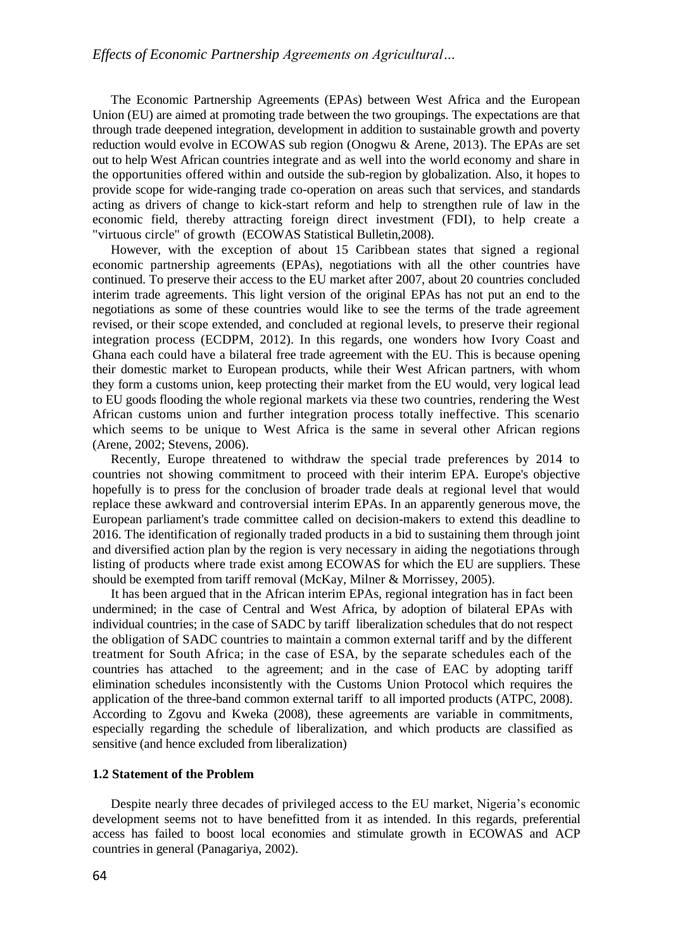The Economic Partnership Agreements (EPAs) between West Africa and the European Union (EU) are aimed at promoting trade between the two groupings. The expectations are that through trade deepened integration, development in addition to sustainable growth and poverty reduction would evolve in ECOWAS sub region (Onogwu & Arene, 2013). The EPAs are set out to help West African countries integrate and as well into the world economy and share in the opportunities offered within and outside the sub-region by globalization. Also, it hopes to provide scope for wide-ranging trade co-operation on areas such that services, and standards acting as drivers of change to kick-start reform and help to strengthen rule of law in the economic field, thereby attracting foreign direct investment (FDI), to help create a "virtuous circle" of growth (ECOWAS Statistical Bulletin,2008).

However, with the exception of about 15 Caribbean states that signed a regional economic partnership agreements (EPAs), negotiations with all the other countries have continued. To preserve their access to the EU market after 2007, about 20 countries concluded interim trade agreements. This light version of the original EPAs has not put an end to the negotiations as some of these countries would like to see the terms of the trade agreement revised, or their scope extended, and concluded at regional levels, to preserve their regional integration process (ECDPM, 2012). In this regards, one wonders how Ivory Coast and Ghana each could have a bilateral free trade agreement with the EU. This is because opening their domestic market to European products, while their West African partners, with whom they form a customs union, keep protecting their market from the EU would, very logical lead to EU goods flooding the whole regional markets via these two countries, rendering the West African customs union and further integration process totally ineffective. This scenario which seems to be unique to West Africa is the same in several other African regions (Arene, 2002; Stevens, 2006).

Recently, Europe threatened to withdraw the special trade preferences by 2014 to countries not showing commitment to proceed with their interim EPA. Europe's objective hopefully is to press for the conclusion of broader trade deals at regional level that would replace these awkward and controversial interim EPAs. In an apparently generous move, the European parliament's trade committee called on decision-makers to extend this deadline to 2016. The identification of regionally traded products in a bid to sustaining them through joint and diversified action plan by the region is very necessary in aiding the negotiations through listing of products where trade exist among ECOWAS for which the EU are suppliers. These should be exempted from tariff removal (McKay, Milner & Morrissey, 2005).

It has been argued that in the African interim EPAs, regional integration has in fact been undermined; in the case of Central and West Africa, by adoption of bilateral EPAs with individual countries; in the case of SADC by tariff liberalization schedules that do not respect the obligation of SADC countries to maintain a common external tariff and by the different treatment for South Africa; in the case of ESA, by the separate schedules each of the countries has attached to the agreement; and in the case of EAC by adopting tariff elimination schedules inconsistently with the Customs Union Protocol which requires the application of the three-band common external tariff to all imported products (ATPC, 2008). According to Zgovu and Kweka (2008), these agreements are variable in commitments, especially regarding the schedule of liberalization, and which products are classified as sensitive (and hence excluded from liberalization)

# **1.2 Statement of the Problem**

Despite nearly three decades of privileged access to the EU market, Nigeria's economic development seems not to have benefitted from it as intended. In this regards, preferential access has failed to boost local economies and stimulate growth in ECOWAS and ACP countries in general (Panagariya, 2002).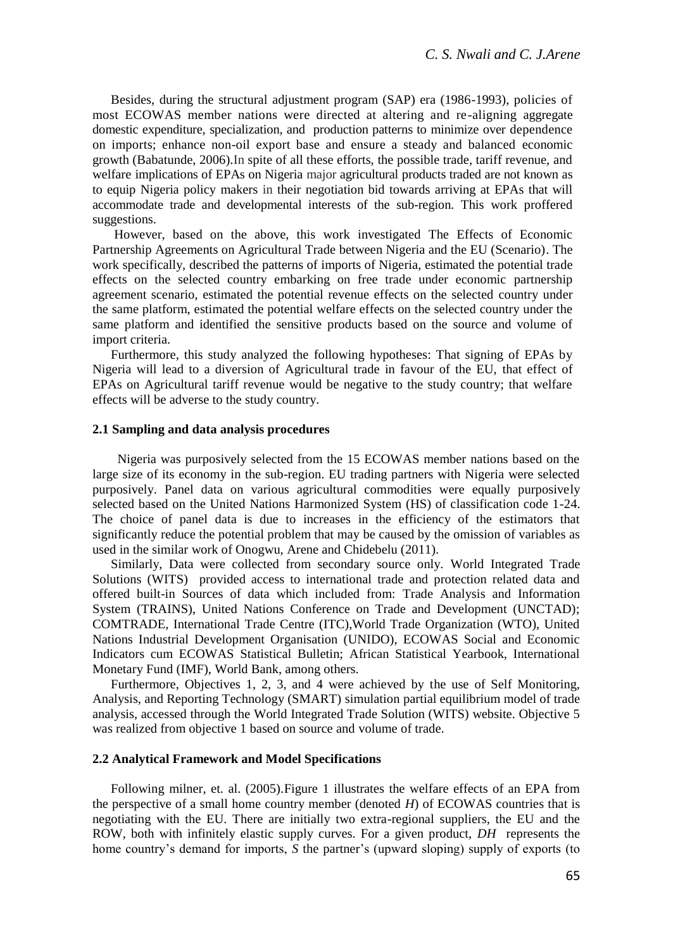Besides, during the structural adjustment program (SAP) era (1986-1993), policies of most ECOWAS member nations were directed at altering and re-aligning aggregate domestic expenditure, specialization, and production patterns to minimize over dependence on imports; enhance non-oil export base and ensure a steady and balanced economic growth (Babatunde, 2006).In spite of all these efforts, the possible trade, tariff revenue, and welfare implications of EPAs on Nigeria major agricultural products traded are not known as to equip Nigeria policy makers in their negotiation bid towards arriving at EPAs that will accommodate trade and developmental interests of the sub-region. This work proffered suggestions.

However, based on the above, this work investigated The Effects of Economic Partnership Agreements on Agricultural Trade between Nigeria and the EU (Scenario). The work specifically, described the patterns of imports of Nigeria, estimated the potential trade effects on the selected country embarking on free trade under economic partnership agreement scenario, estimated the potential revenue effects on the selected country under the same platform, estimated the potential welfare effects on the selected country under the same platform and identified the sensitive products based on the source and volume of import criteria.

Furthermore, this study analyzed the following hypotheses: That signing of EPAs by Nigeria will lead to a diversion of Agricultural trade in favour of the EU, that effect of EPAs on Agricultural tariff revenue would be negative to the study country; that welfare effects will be adverse to the study country.

#### **2.1 Sampling and data analysis procedures**

 Nigeria was purposively selected from the 15 ECOWAS member nations based on the large size of its economy in the sub-region. EU trading partners with Nigeria were selected purposively. Panel data on various agricultural commodities were equally purposively selected based on the United Nations Harmonized System (HS) of classification code 1-24. The choice of panel data is due to increases in the efficiency of the estimators that significantly reduce the potential problem that may be caused by the omission of variables as used in the similar work of Onogwu, Arene and Chidebelu (2011).

Similarly, Data were collected from secondary source only. World Integrated Trade Solutions (WITS) provided access to international trade and protection related data and offered built-in Sources of data which included from: Trade Analysis and Information System (TRAINS), United Nations Conference on Trade and Development (UNCTAD); COMTRADE, International Trade Centre (ITC),World Trade Organization (WTO), United Nations Industrial Development Organisation (UNIDO), ECOWAS Social and Economic Indicators cum ECOWAS Statistical Bulletin; African Statistical Yearbook, International Monetary Fund (IMF), World Bank, among others.

Furthermore, Objectives 1, 2, 3, and 4 were achieved by the use of Self Monitoring, Analysis, and Reporting Technology (SMART) simulation partial equilibrium model of trade analysis, accessed through the World Integrated Trade Solution (WITS) website. Objective 5 was realized from objective 1 based on source and volume of trade.

### **2.2 Analytical Framework and Model Specifications**

Following milner, et. al. (2005).Figure 1 illustrates the welfare effects of an EPA from the perspective of a small home country member (denoted *H*) of ECOWAS countries that is negotiating with the EU. There are initially two extra-regional suppliers, the EU and the ROW, both with infinitely elastic supply curves. For a given product, *DH* represents the home country's demand for imports, *S* the partner's (upward sloping) supply of exports (to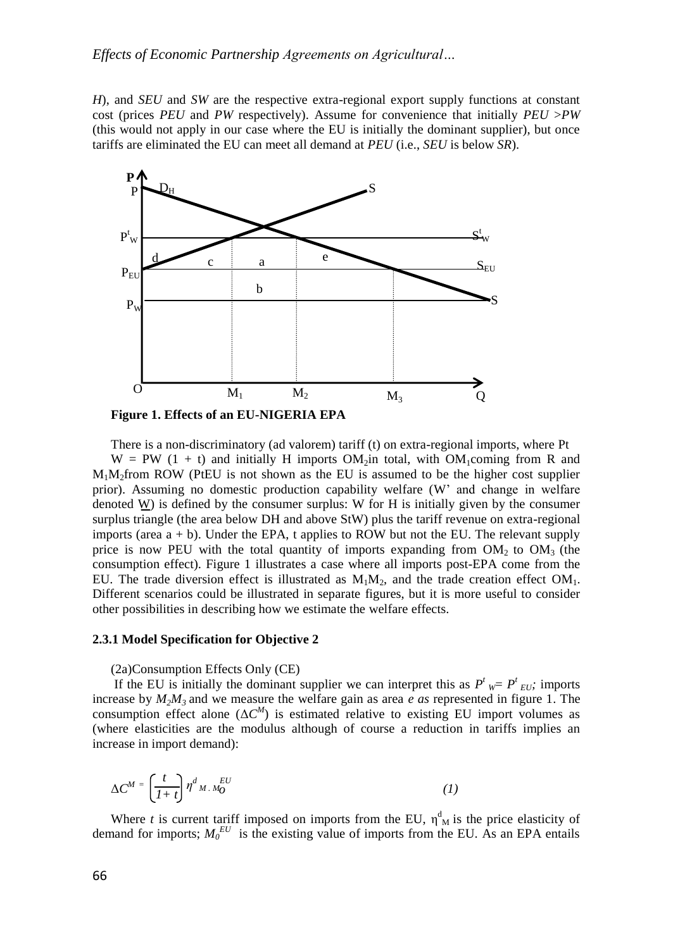*H*), and *SEU* and *SW* are the respective extra-regional export supply functions at constant cost (prices *PEU* and *PW* respectively). Assume for convenience that initially *PEU* >*PW*  (this would not apply in our case where the EU is initially the dominant supplier), but once tariffs are eliminated the EU can meet all demand at *PEU* (i.e., *SEU* is below *SR*).



**Figure 1. Effects of an EU-NIGERIA EPA**

There is a non-discriminatory (ad valorem) tariff (t) on extra-regional imports, where Pt  $W = PW (1 + t)$  and initially H imports OM<sub>2</sub>in total, with OM<sub>1</sub>coming from R and  $M_1M_2$ from ROW (PtEU is not shown as the EU is assumed to be the higher cost supplier prior). Assuming no domestic production capability welfare (W' and change in welfare denoted  $W$ ) is defined by the consumer surplus: W for H is initially given by the consumer surplus triangle (the area below DH and above StW) plus the tariff revenue on extra-regional imports (area  $a + b$ ). Under the EPA, t applies to ROW but not the EU. The relevant supply price is now PEU with the total quantity of imports expanding from  $OM_2$  to  $OM_3$  (the consumption effect). Figure 1 illustrates a case where all imports post-EPA come from the EU. The trade diversion effect is illustrated as  $M_1M_2$ , and the trade creation effect  $OM_1$ . Different scenarios could be illustrated in separate figures, but it is more useful to consider other possibilities in describing how we estimate the welfare effects.

#### **2.3.1 Model Specification for Objective 2**

(2a)Consumption Effects Only (CE)

If the EU is initially the dominant supplier we can interpret this as  $P^t_{\mathcal{W}} = P^t_{\mathcal{EU}}$ ; imports increase by  $M_2M_3$  and we measure the welfare gain as area *e as* represented in figure 1. The consumption effect alone  $(\Delta C^M)$  is estimated relative to existing EU import volumes as (where elasticities are the modulus although of course a reduction in tariffs implies an increase in import demand):

$$
\Delta C^M = \left(\frac{t}{I+t}\right) \eta^d{}_M \, M_O^{EU} \tag{1}
$$

Where *t* is current tariff imposed on imports from the EU,  $\eta_{M}^{d}$  is the price elasticity of demand for imports;  $M_0^{EU}$  is the existing value of imports from the EU. As an EPA entails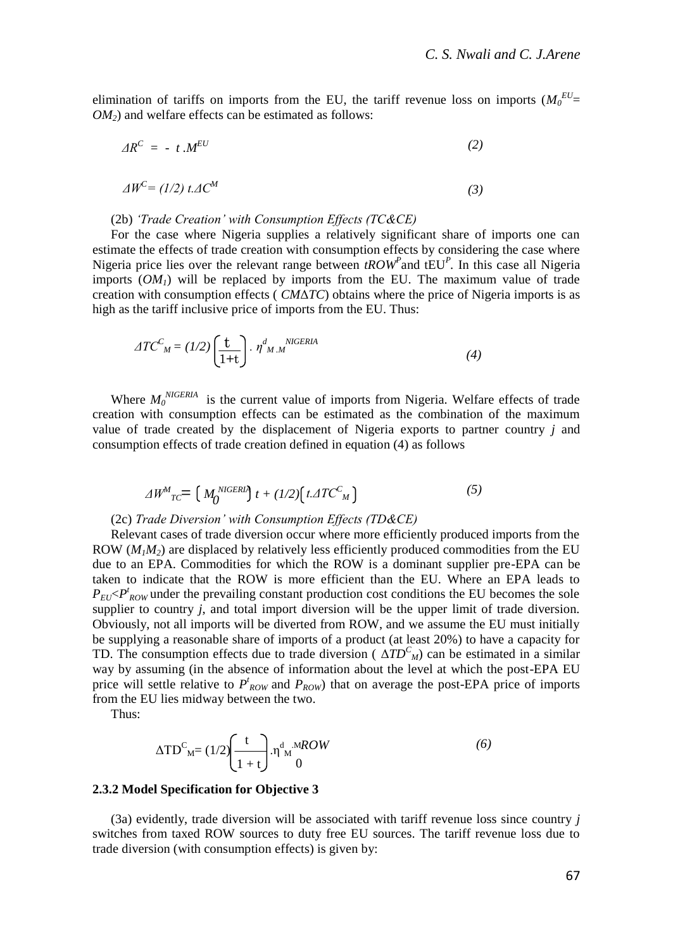elimination of tariffs on imports from the EU, the tariff revenue loss on imports  $(M_0^{EU}$ *OM2*) and welfare effects can be estimated as follows:

$$
\Delta R^C = -t \cdot M^{EU} \tag{2}
$$

$$
\Delta W^{\mathcal{C}} = (1/2) t \Delta C^M \tag{3}
$$

#### (2b) *'Trade Creation' with Consumption Effects (TC&CE)*

For the case where Nigeria supplies a relatively significant share of imports one can estimate the effects of trade creation with consumption effects by considering the case where Nigeria price lies over the relevant range between *tROW<sup>P</sup>* and tEU*<sup>P</sup> .* In this case all Nigeria imports  $(OM<sub>1</sub>)$  will be replaced by imports from the EU. The maximum value of trade creation with consumption effects ( *CM*Δ*TC*) obtains where the price of Nigeria imports is as high as the tariff inclusive price of imports from the EU. Thus:

$$
ATC_{M}^{C} = (1/2)\left(\frac{t}{1+t}\right) \cdot \eta_{M.M}^{d}^{NIGERIA}
$$
\n(4)

Where  $M_0^{NIGERIA}$  is the current value of imports from Nigeria. Welfare effects of trade creation with consumption effects can be estimated as the combination of the maximum value of trade created by the displacement of Nigeria exports to partner country *j* and consumption effects of trade creation defined in equation (4) as follows

$$
\Delta W^M{}_{TC} = \left( M^{\text{NIGERI}}_0 \right) t + (1/2) \left( t \Delta T C^C{}_M \right) \tag{5}
$$

#### (2c) *Trade Diversion' with Consumption Effects (TD&CE)*

Relevant cases of trade diversion occur where more efficiently produced imports from the ROW  $(M_1M_2)$  are displaced by relatively less efficiently produced commodities from the EU due to an EPA. Commodities for which the ROW is a dominant supplier pre-EPA can be taken to indicate that the ROW is more efficient than the EU. Where an EPA leads to  $P_{EU}$   $\lt P_{ROW}^t$  under the prevailing constant production cost conditions the EU becomes the sole supplier to country *j*, and total import diversion will be the upper limit of trade diversion. Obviously, not all imports will be diverted from ROW, and we assume the EU must initially be supplying a reasonable share of imports of a product (at least 20%) to have a capacity for TD. The consumption effects due to trade diversion ( $\Delta TD^{C}_{M}$ ) can be estimated in a similar way by assuming (in the absence of information about the level at which the post-EPA EU price will settle relative to  $P'_{ROW}$  and  $P_{ROW}$ ) that on average the post-EPA price of imports from the EU lies midway between the two.

Thus:

$$
\Delta TD_{M}^{C} = (1/2) \left( \frac{t}{1+t} \right) . \eta_{M}^{d} M\notimes W \tag{6}
$$

#### **2.3.2 Model Specification for Objective 3**

(3a) evidently, trade diversion will be associated with tariff revenue loss since country *j*  switches from taxed ROW sources to duty free EU sources. The tariff revenue loss due to trade diversion (with consumption effects) is given by: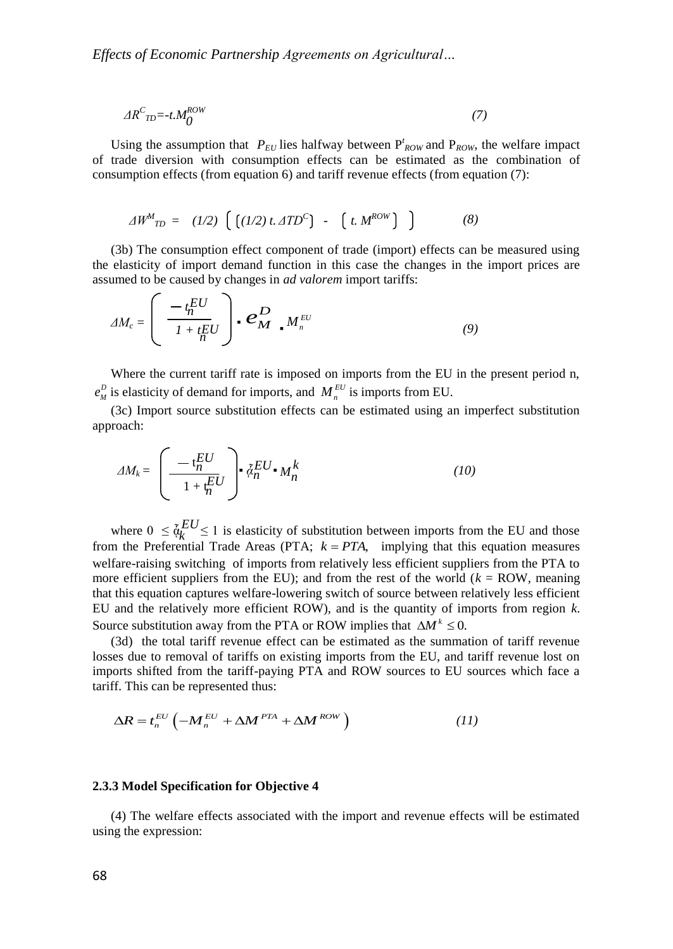$$
\Delta R^C{}_{T D} = -t M_O^{ROW} \tag{7}
$$

Using the assumption that  $P_{EU}$  lies halfway between  $P_{ROW}^t$  and  $P_{ROW}$ , the welfare impact of trade diversion with consumption effects can be estimated as the combination of consumption effects (from equation 6) and tariff revenue effects (from equation (7):

$$
\Delta W^M_{\ \! TD} = (1/2) \left[ \left[ (1/2) \, t. \, \Delta T D^C \right] \, - \, \left[ \, t. \, M^{ROW} \right] \, \right] \tag{8}
$$

(3b) The consumption effect component of trade (import) effects can be measured using the elasticity of import demand function in this case the changes in the import prices are assumed to be caused by changes in *ad valorem* import tariffs:

$$
\varDelta M_c = \left( \begin{array}{c} -t_n^{EU} \\ \hline l + t_n^{EU} \end{array} \right) \bullet \mathbf{C}_{\mathbf{M}}^{\mathbf{D}} \bullet M_n^{EU} \tag{9}
$$

Where the current tariff rate is imposed on imports from the EU in the present period n,  $e_M^D$  is elasticity of demand for imports, and  $M_n^{EU}$  is imports from EU.

(3c) Import source substitution effects can be estimated using an imperfect substitution approach:

$$
\Delta M_k = \left(\underbrace{-t_n^{EU}}_{1+t_n^{EU}}\right) \cdot \tilde{a}_n^{EU} \cdot M_n^k \tag{10}
$$

where  $0 \leq \tilde{q}_k^{EU} \leq 1$  is elasticity of substitution between imports from the EU and those from the Preferential Trade Areas (PTA;  $k = PTA$ , implying that this equation measures welfare-raising switching of imports from relatively less efficient suppliers from the PTA to more efficient suppliers from the EU); and from the rest of the world  $(k = \text{ROW}, \text{ meaning})$ that this equation captures welfare-lowering switch of source between relatively less efficient EU and the relatively more efficient ROW), and is the quantity of imports from region *k*. Source substitution away from the PTA or ROW implies that  $\Delta M^k \leq 0$ . *k*

(3d) the total tariff revenue effect can be estimated as the summation of tariff revenue losses due to removal of tariffs on existing imports from the EU, and tariff revenue lost on imports shifted from the tariff-paying PTA and ROW sources to EU sources which face a tariff. This can be represented thus:

$$
\Delta R = t_n^{EU} \left( -M_n^{EU} + \Delta M^{PTA} + \Delta M^{ROW} \right) \tag{11}
$$

#### **2.3.3 Model Specification for Objective 4**

(4) The welfare effects associated with the import and revenue effects will be estimated using the expression: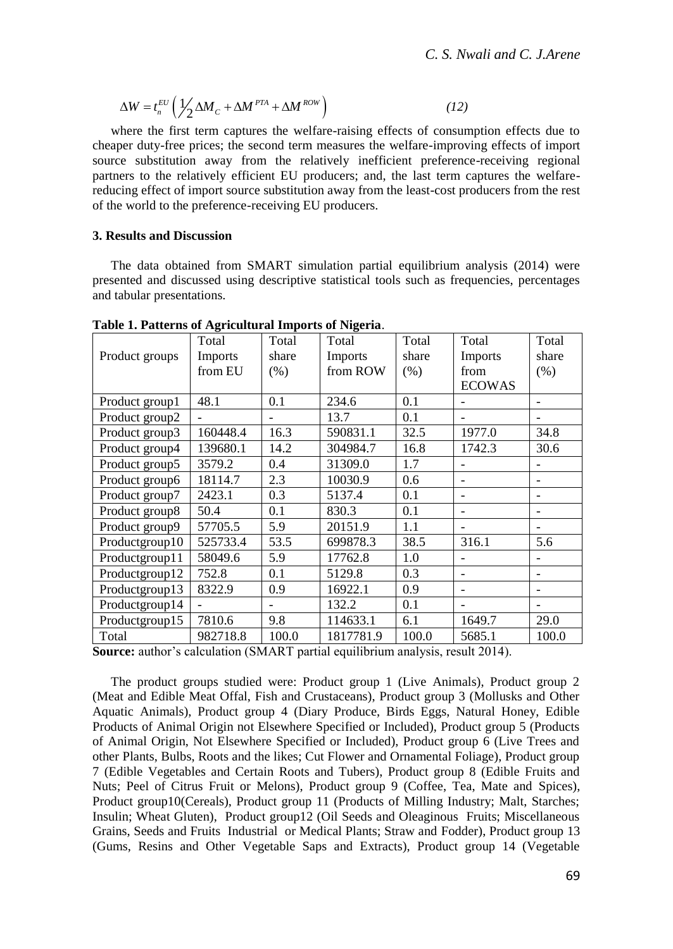$$
\Delta W = t_n^{EU} \left( \frac{1}{2} \Delta M_C + \Delta M^{PTA} + \Delta M^{ROW} \right)
$$
 (12)

where the first term captures the welfare-raising effects of consumption effects due to cheaper duty-free prices; the second term measures the welfare-improving effects of import source substitution away from the relatively inefficient preference-receiving regional partners to the relatively efficient EU producers; and, the last term captures the welfarereducing effect of import source substitution away from the least-cost producers from the rest of the world to the preference-receiving EU producers.

# **3. Results and Discussion**

The data obtained from SMART simulation partial equilibrium analysis (2014) were presented and discussed using descriptive statistical tools such as frequencies, percentages and tabular presentations.

|                | Total    | Total | Total     | Total | Total         | Total |
|----------------|----------|-------|-----------|-------|---------------|-------|
| Product groups | Imports  | share | Imports   | share | Imports       | share |
|                | from EU  | (% )  | from ROW  | (% )  | from          | (% )  |
|                |          |       |           |       | <b>ECOWAS</b> |       |
| Product group1 | 48.1     | 0.1   | 234.6     | 0.1   |               |       |
| Product group2 |          |       | 13.7      | 0.1   |               |       |
| Product group3 | 160448.4 | 16.3  | 590831.1  | 32.5  | 1977.0        | 34.8  |
| Product group4 | 139680.1 | 14.2  | 304984.7  | 16.8  | 1742.3        | 30.6  |
| Product group5 | 3579.2   | 0.4   | 31309.0   | 1.7   |               |       |
| Product group6 | 18114.7  | 2.3   | 10030.9   | 0.6   | ۰             |       |
| Product group7 | 2423.1   | 0.3   | 5137.4    | 0.1   | ۰             |       |
| Product group8 | 50.4     | 0.1   | 830.3     | 0.1   | ۰             |       |
| Product group9 | 57705.5  | 5.9   | 20151.9   | 1.1   |               |       |
| Productgroup10 | 525733.4 | 53.5  | 699878.3  | 38.5  | 316.1         | 5.6   |
| Productgroup11 | 58049.6  | 5.9   | 17762.8   | 1.0   |               |       |
| Productgroup12 | 752.8    | 0.1   | 5129.8    | 0.3   |               |       |
| Productgroup13 | 8322.9   | 0.9   | 16922.1   | 0.9   | ۰             |       |
| Productgroup14 |          |       | 132.2     | 0.1   |               |       |
| Productgroup15 | 7810.6   | 9.8   | 114633.1  | 6.1   | 1649.7        | 29.0  |
| Total          | 982718.8 | 100.0 | 1817781.9 | 100.0 | 5685.1        | 100.0 |

**Table 1. Patterns of Agricultural Imports of Nigeria**.

**Source:** author's calculation (SMART partial equilibrium analysis, result 2014).

The product groups studied were: Product group 1 (Live Animals), Product group 2 (Meat and Edible Meat Offal, Fish and Crustaceans), Product group 3 (Mollusks and Other Aquatic Animals), Product group 4 (Diary Produce, Birds Eggs, Natural Honey, Edible Products of Animal Origin not Elsewhere Specified or Included), Product group 5 (Products of Animal Origin, Not Elsewhere Specified or Included), Product group 6 (Live Trees and other Plants, Bulbs, Roots and the likes; Cut Flower and Ornamental Foliage), Product group 7 (Edible Vegetables and Certain Roots and Tubers), Product group 8 (Edible Fruits and Nuts; Peel of Citrus Fruit or Melons), Product group 9 (Coffee, Tea, Mate and Spices), Product group10(Cereals), Product group 11 (Products of Milling Industry; Malt, Starches; Insulin; Wheat Gluten), Product group12 (Oil Seeds and Oleaginous Fruits; Miscellaneous Grains, Seeds and Fruits Industrial or Medical Plants; Straw and Fodder), Product group 13 (Gums, Resins and Other Vegetable Saps and Extracts), Product group 14 (Vegetable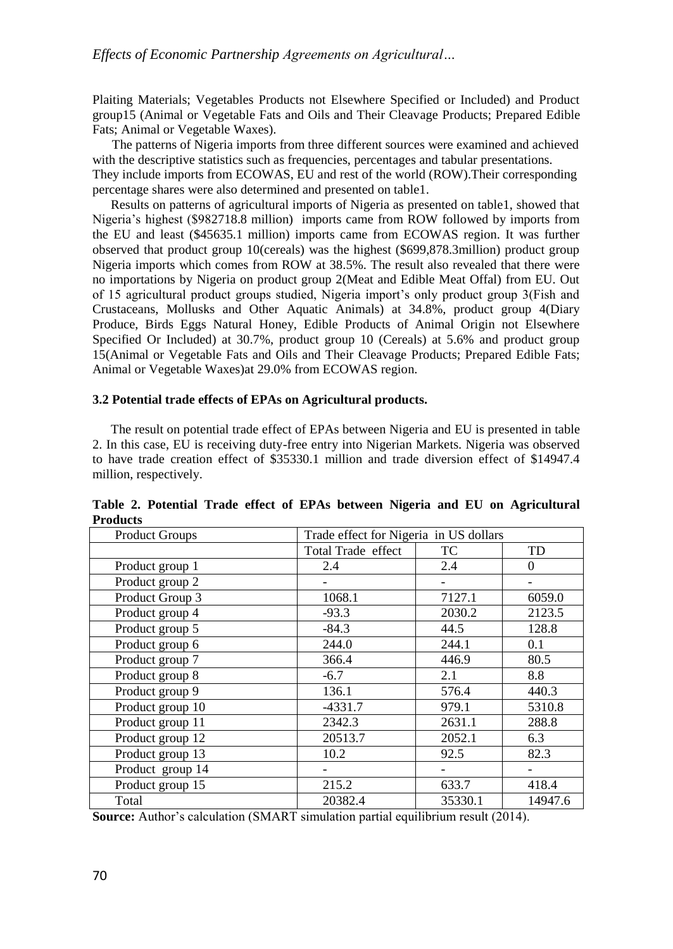Plaiting Materials; Vegetables Products not Elsewhere Specified or Included) and Product group15 (Animal or Vegetable Fats and Oils and Their Cleavage Products; Prepared Edible Fats; Animal or Vegetable Waxes).

 The patterns of Nigeria imports from three different sources were examined and achieved with the descriptive statistics such as frequencies, percentages and tabular presentations. They include imports from ECOWAS, EU and rest of the world (ROW).Their corresponding percentage shares were also determined and presented on table1.

Results on patterns of agricultural imports of Nigeria as presented on table1, showed that Nigeria's highest (\$982718.8 million) imports came from ROW followed by imports from the EU and least (\$45635.1 million) imports came from ECOWAS region. It was further observed that product group 10(cereals) was the highest (\$699,878.3million) product group Nigeria imports which comes from ROW at 38.5%. The result also revealed that there were no importations by Nigeria on product group 2(Meat and Edible Meat Offal) from EU. Out of 15 agricultural product groups studied, Nigeria import's only product group 3(Fish and Crustaceans, Mollusks and Other Aquatic Animals) at 34.8%, product group 4(Diary Produce, Birds Eggs Natural Honey, Edible Products of Animal Origin not Elsewhere Specified Or Included) at 30.7%, product group 10 (Cereals) at 5.6% and product group 15(Animal or Vegetable Fats and Oils and Their Cleavage Products; Prepared Edible Fats; Animal or Vegetable Waxes)at 29.0% from ECOWAS region.

# **3.2 Potential trade effects of EPAs on Agricultural products.**

The result on potential trade effect of EPAs between Nigeria and EU is presented in table 2. In this case, EU is receiving duty-free entry into Nigerian Markets. Nigeria was observed to have trade creation effect of \$35330.1 million and trade diversion effect of \$14947.4 million, respectively.

| <b>Product Groups</b> |                    | Trade effect for Nigeria in US dollars |          |  |
|-----------------------|--------------------|----------------------------------------|----------|--|
|                       | Total Trade effect | TC                                     | TD       |  |
| Product group 1       | 2.4                | 2.4                                    | $\Omega$ |  |
| Product group 2       |                    |                                        |          |  |
| Product Group 3       | 1068.1             | 7127.1                                 | 6059.0   |  |
| Product group 4       | $-93.3$            | 2030.2                                 | 2123.5   |  |
| Product group 5       | $-84.3$            | 44.5                                   | 128.8    |  |
| Product group 6       | 244.0              | 244.1                                  | 0.1      |  |
| Product group 7       | 366.4              | 446.9                                  | 80.5     |  |
| Product group 8       | $-6.7$             | 2.1                                    | 8.8      |  |
| Product group 9       | 136.1              | 576.4                                  | 440.3    |  |
| Product group 10      | $-4331.7$          | 979.1                                  | 5310.8   |  |
| Product group 11      | 2342.3             | 2631.1                                 | 288.8    |  |
| Product group 12      | 20513.7            | 2052.1                                 | 6.3      |  |
| Product group 13      | 10.2               | 92.5                                   | 82.3     |  |
| Product group 14      |                    |                                        |          |  |
| Product group 15      | 215.2              | 633.7                                  | 418.4    |  |
| Total                 | 20382.4            | 35330.1                                | 14947.6  |  |

**Table 2. Potential Trade effect of EPAs between Nigeria and EU on Agricultural Products**

**Source:** Author's calculation (SMART simulation partial equilibrium result (2014).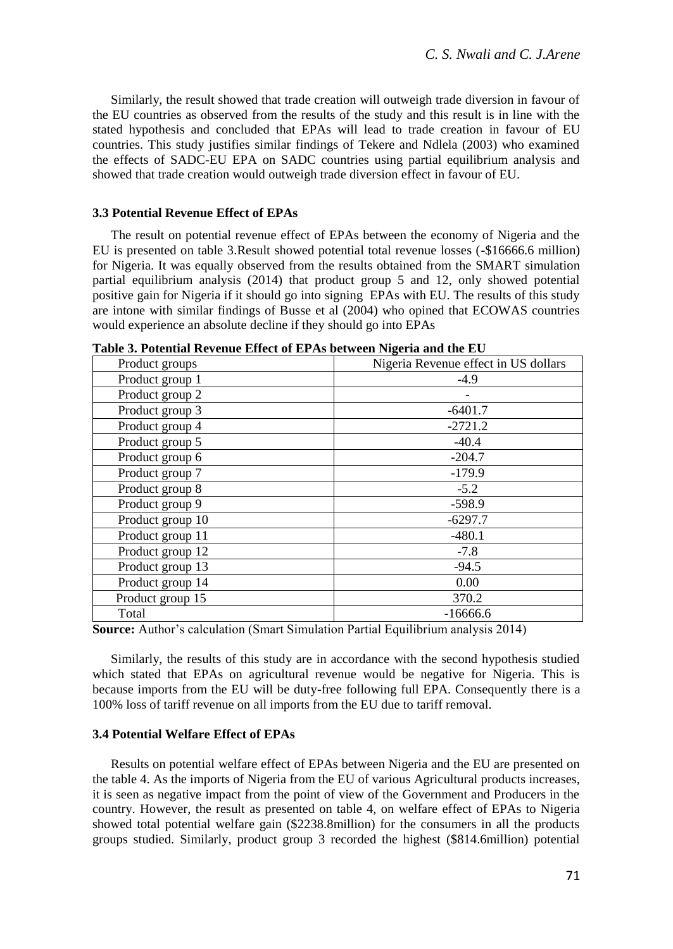Similarly, the result showed that trade creation will outweigh trade diversion in favour of the EU countries as observed from the results of the study and this result is in line with the stated hypothesis and concluded that EPAs will lead to trade creation in favour of EU countries. This study justifies similar findings of Tekere and Ndlela (2003) who examined the effects of SADC-EU EPA on SADC countries using partial equilibrium analysis and showed that trade creation would outweigh trade diversion effect in favour of EU.

#### **3.3 Potential Revenue Effect of EPAs**

The result on potential revenue effect of EPAs between the economy of Nigeria and the EU is presented on table 3.Result showed potential total revenue losses (-\$16666.6 million) for Nigeria. It was equally observed from the results obtained from the SMART simulation partial equilibrium analysis (2014) that product group 5 and 12, only showed potential positive gain for Nigeria if it should go into signing EPAs with EU. The results of this study are intone with similar findings of Busse et al (2004) who opined that ECOWAS countries would experience an absolute decline if they should go into EPAs

| Product groups   | Nigeria Revenue effect in US dollars |  |  |
|------------------|--------------------------------------|--|--|
| Product group 1  | $-4.9$                               |  |  |
| Product group 2  |                                      |  |  |
| Product group 3  | $-6401.7$                            |  |  |
| Product group 4  | $-2721.2$                            |  |  |
| Product group 5  | $-40.4$                              |  |  |
| Product group 6  | $-204.7$                             |  |  |
| Product group 7  | $-179.9$                             |  |  |
| Product group 8  | $-5.2$                               |  |  |
| Product group 9  | $-598.9$                             |  |  |
| Product group 10 | $-6297.7$                            |  |  |
| Product group 11 | $-480.1$                             |  |  |
| Product group 12 | $-7.8$                               |  |  |
| Product group 13 | $-94.5$                              |  |  |
| Product group 14 | 0.00                                 |  |  |
| Product group 15 | 370.2                                |  |  |
| Total            | $-16666.6$                           |  |  |

**Table 3. Potential Revenue Effect of EPAs between Nigeria and the EU**

**Source:** Author's calculation (Smart Simulation Partial Equilibrium analysis 2014)

Similarly, the results of this study are in accordance with the second hypothesis studied which stated that EPAs on agricultural revenue would be negative for Nigeria. This is because imports from the EU will be duty-free following full EPA. Consequently there is a 100% loss of tariff revenue on all imports from the EU due to tariff removal.

# **3.4 Potential Welfare Effect of EPAs**

Results on potential welfare effect of EPAs between Nigeria and the EU are presented on the table 4. As the imports of Nigeria from the EU of various Agricultural products increases, it is seen as negative impact from the point of view of the Government and Producers in the country. However, the result as presented on table 4, on welfare effect of EPAs to Nigeria showed total potential welfare gain (\$2238.8million) for the consumers in all the products groups studied. Similarly, product group 3 recorded the highest (\$814.6million) potential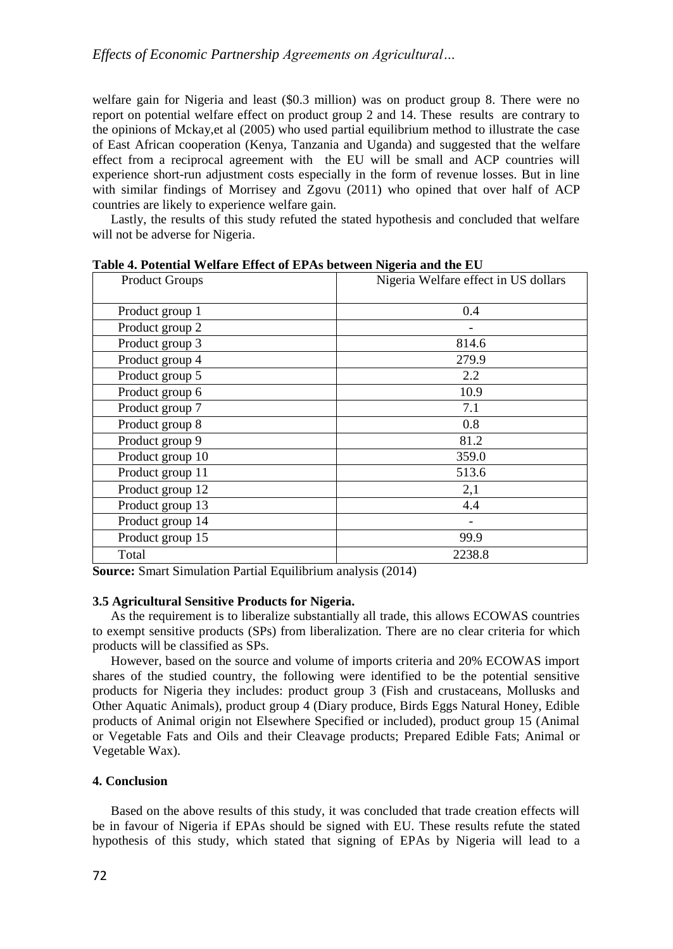welfare gain for Nigeria and least (\$0.3 million) was on product group 8. There were no report on potential welfare effect on product group 2 and 14. These results are contrary to the opinions of Mckay,et al (2005) who used partial equilibrium method to illustrate the case of East African cooperation (Kenya, Tanzania and Uganda) and suggested that the welfare effect from a reciprocal agreement with the EU will be small and ACP countries will experience short-run adjustment costs especially in the form of revenue losses. But in line with similar findings of Morrisey and Zgovu (2011) who opined that over half of ACP countries are likely to experience welfare gain.

Lastly, the results of this study refuted the stated hypothesis and concluded that welfare will not be adverse for Nigeria.

| <b>Product Groups</b> | Nigeria Welfare effect in US dollars |  |  |
|-----------------------|--------------------------------------|--|--|
| Product group 1       | 0.4                                  |  |  |
| Product group 2       |                                      |  |  |
| Product group 3       | 814.6                                |  |  |
| Product group 4       | 279.9                                |  |  |
| Product group 5       | 2.2                                  |  |  |
| Product group 6       | 10.9                                 |  |  |
| Product group 7       | 7.1                                  |  |  |
| Product group 8       | 0.8                                  |  |  |
| Product group 9       | 81.2                                 |  |  |
| Product group 10      | 359.0                                |  |  |
| Product group 11      | 513.6                                |  |  |
| Product group 12      | 2,1                                  |  |  |
| Product group 13      | 4.4                                  |  |  |
| Product group 14      |                                      |  |  |
| Product group 15      | 99.9                                 |  |  |
| Total                 | 2238.8                               |  |  |

**Table 4. Potential Welfare Effect of EPAs between Nigeria and the EU**

**Source:** Smart Simulation Partial Equilibrium analysis (2014)

# **3.5 Agricultural Sensitive Products for Nigeria.**

As the requirement is to liberalize substantially all trade, this allows ECOWAS countries to exempt sensitive products (SPs) from liberalization. There are no clear criteria for which products will be classified as SPs.

However, based on the source and volume of imports criteria and 20% ECOWAS import shares of the studied country, the following were identified to be the potential sensitive products for Nigeria they includes: product group 3 (Fish and crustaceans, Mollusks and Other Aquatic Animals), product group 4 (Diary produce, Birds Eggs Natural Honey, Edible products of Animal origin not Elsewhere Specified or included), product group 15 (Animal or Vegetable Fats and Oils and their Cleavage products; Prepared Edible Fats; Animal or Vegetable Wax).

# **4. Conclusion**

Based on the above results of this study, it was concluded that trade creation effects will be in favour of Nigeria if EPAs should be signed with EU. These results refute the stated hypothesis of this study, which stated that signing of EPAs by Nigeria will lead to a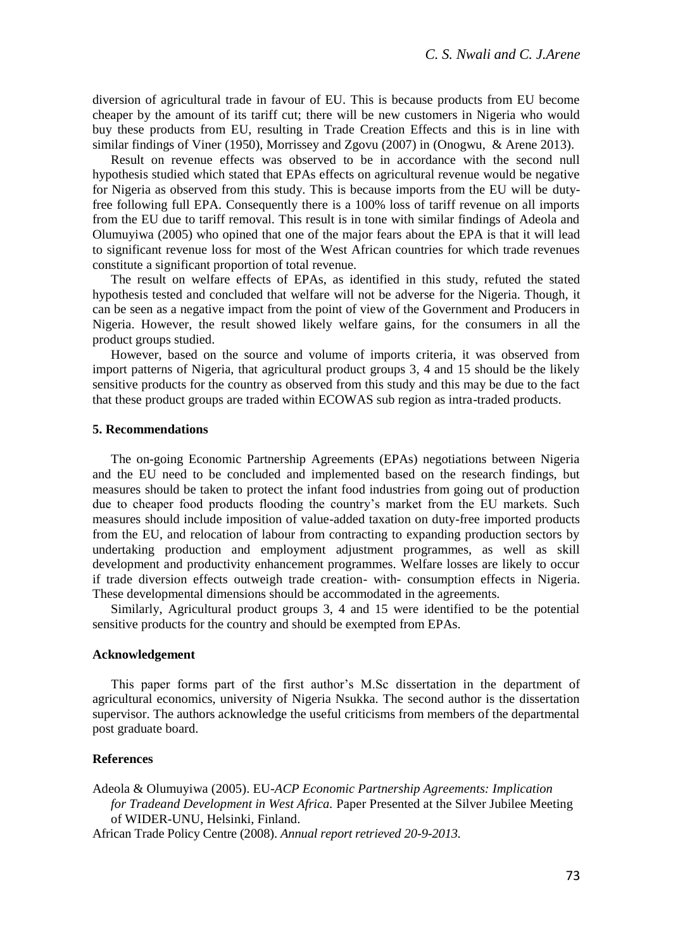diversion of agricultural trade in favour of EU. This is because products from EU become cheaper by the amount of its tariff cut; there will be new customers in Nigeria who would buy these products from EU, resulting in Trade Creation Effects and this is in line with similar findings of Viner (1950), Morrissey and Zgovu (2007) in (Onogwu, & Arene 2013).

Result on revenue effects was observed to be in accordance with the second null hypothesis studied which stated that EPAs effects on agricultural revenue would be negative for Nigeria as observed from this study. This is because imports from the EU will be dutyfree following full EPA. Consequently there is a 100% loss of tariff revenue on all imports from the EU due to tariff removal. This result is in tone with similar findings of Adeola and Olumuyiwa (2005) who opined that one of the major fears about the EPA is that it will lead to significant revenue loss for most of the West African countries for which trade revenues constitute a significant proportion of total revenue.

The result on welfare effects of EPAs, as identified in this study, refuted the stated hypothesis tested and concluded that welfare will not be adverse for the Nigeria. Though, it can be seen as a negative impact from the point of view of the Government and Producers in Nigeria. However, the result showed likely welfare gains, for the consumers in all the product groups studied.

However, based on the source and volume of imports criteria, it was observed from import patterns of Nigeria, that agricultural product groups 3, 4 and 15 should be the likely sensitive products for the country as observed from this study and this may be due to the fact that these product groups are traded within ECOWAS sub region as intra-traded products.

#### **5. Recommendations**

The on-going Economic Partnership Agreements (EPAs) negotiations between Nigeria and the EU need to be concluded and implemented based on the research findings, but measures should be taken to protect the infant food industries from going out of production due to cheaper food products flooding the country's market from the EU markets. Such measures should include imposition of value-added taxation on duty-free imported products from the EU, and relocation of labour from contracting to expanding production sectors by undertaking production and employment adjustment programmes, as well as skill development and productivity enhancement programmes. Welfare losses are likely to occur if trade diversion effects outweigh trade creation- with- consumption effects in Nigeria. These developmental dimensions should be accommodated in the agreements.

Similarly, Agricultural product groups 3, 4 and 15 were identified to be the potential sensitive products for the country and should be exempted from EPAs.

#### **Acknowledgement**

This paper forms part of the first author's M.Sc dissertation in the department of agricultural economics, university of Nigeria Nsukka. The second author is the dissertation supervisor. The authors acknowledge the useful criticisms from members of the departmental post graduate board.

### **References**

Adeola & Olumuyiwa (2005). EU*-ACP Economic Partnership Agreements: Implication for Tradeand Development in West Africa.* Paper Presented at the Silver Jubilee Meeting of WIDER-UNU, Helsinki, Finland.

African Trade Policy Centre (2008). *Annual report retrieved 20-9-2013.*